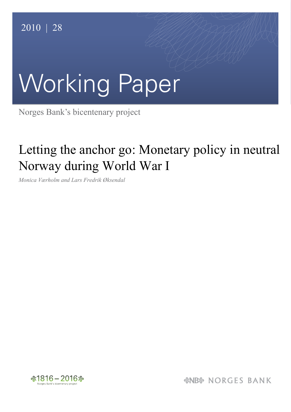# Working Paper

Norges Bank's bicentenary project

## Letting the anchor go: Monetary policy in neutral Norway during World War I

*Monica Værholm and Lars Fredrik Øksendal*



*&NB& NORGES BANK*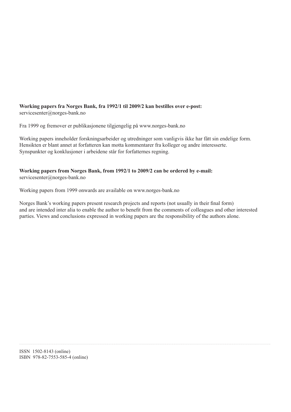#### **Working papers fra Norges Bank, fra 1992/1 til 2009/2 kan bestilles over e-post:** servicesenter@norges-bank.no

Fra 1999 og fremover er publikasjonene tilgjengelig på www.norges-bank.no

Working papers inneholder forskningsarbeider og utredninger som vanligvis ikke har fått sin endelige form. Hensikten er blant annet at forfatteren kan motta kommentarer fra kolleger og andre interesserte. Synspunkter og konklusjoner i arbeidene står for forfatternes regning.

#### **Working papers from Norges Bank, from 1992/1 to 2009/2 can be ordered by e-mail:** servicesenter@norges-bank.no

Working papers from 1999 onwards are available on www.norges-bank.no

Norges Bank's working papers present research projects and reports (not usually in their final form) and are intended inter alia to enable the author to benefit from the comments of colleagues and other interested parties. Views and conclusions expressed in working papers are the responsibility of the authors alone.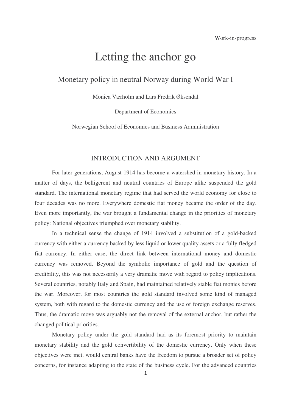### Letting the anchor go

#### Monetary policy in neutral Norway during World War I

Monica Værholm and Lars Fredrik Øksendal

Department of Economics

Norwegian School of Economics and Business Administration

#### INTRODUCTION AND ARGUMENT

For later generations, August 1914 has become a watershed in monetary history. In a matter of days, the belligerent and neutral countries of Europe alike suspended the gold standard. The international monetary regime that had served the world economy for close to four decades was no more. Everywhere domestic fiat money became the order of the day. Even more importantly, the war brought a fundamental change in the priorities of monetary policy: National objectives triumphed over monetary stability.

In a technical sense the change of 1914 involved a substitution of a gold-backed currency with either a currency backed by less liquid or lower quality assets or a fully fledged fiat currency. In either case, the direct link between international money and domestic currency was removed. Beyond the symbolic importance of gold and the question of credibility, this was not necessarily a very dramatic move with regard to policy implications. Several countries, notably Italy and Spain, had maintained relatively stable fiat monies before the war. Moreover, for most countries the gold standard involved some kind of managed system, both with regard to the domestic currency and the use of foreign exchange reserves. Thus, the dramatic move was arguably not the removal of the external anchor, but rather the changed political priorities.

Monetary policy under the gold standard had as its foremost priority to maintain monetary stability and the gold convertibility of the domestic currency. Only when these objectives were met, would central banks have the freedom to pursue a broader set of policy concerns, for instance adapting to the state of the business cycle. For the advanced countries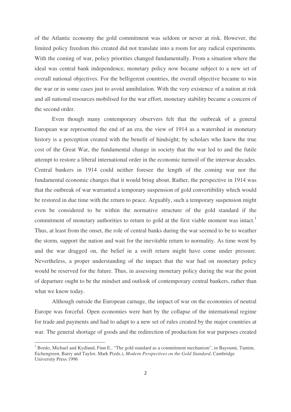limited policy freedom this created did not translate into a room for any radical experiments. With the coming of war, policy priorities changed fundamentally. From a situation where the ideal was central bank independence, monetary policy now became subject to a new set of overall national objectives. For the belligerent countries, the overall objective became to win the war or in some cases just to avoid annihilation. With the very existence of a nation at risk and all national resources mobilised for the war effort, monetary stability became a concern of the second order.

of the Atlantic economy the gold commitment was seldom or never at risk. However, the reduction of the commitment was seldom or never at risk. However, the flow there is the commitment of the commitment or never at risk co Even though many contemporary observers felt that the outbreak of a general European war represented the end of an era, the view of 1914 as a watershed in monetary history is a perception created with the benefit of hindsight; by scholars who knew the true cost of the Great War, the fundamental change in society that the war led to and the futile attempt to restore a liberal international order in the economic turmoil of the interwar decades. Central bankers in 1914 could neither foresee the length of the coming war nor the fundamental economic changes that it would bring about. Rather, the perspective in 1914 was that the outbreak of war warranted a temporary suspension of gold convertibility which would be restored in due time with the return to peace. Arguably, such a temporary suspension might even be considered to be within the normative structure of the gold standard if the commitment of monetary authorities to return to gold at the first viable moment was intact.<sup>1</sup> Thus, at least from the onset, the role of central banks during the war seemed to be to weather the storm, support the nation and wait for the inevitable return to normality. As time went by and the war dragged on, the belief in a swift return might have come under pressure. Nevertheless, a proper understanding of the impact that the war had on monetary policy would be reserved for the future. Thus, in assessing monetary policy during the war the point of departure ought to be the mindset and outlook of contemporary central bankers, rather than what we know today.

Although outside the European carnage, the impact of war on the economies of neutral Europe was forceful. Open economies were hurt by the collapse of the international regime for trade and payments and had to adapt to a new set of rules created by the major countries at war. The general shortage of goods and the redirection of production for war purposes created

<sup>&</sup>lt;sup>1</sup> Bordo, Michael and Kydland, Finn E., "The gold standard as a commitment mechanism", in Bayoumi, Tamim, Eichengreen, Barry and Taylor, Mark P(eds.), *Modern Perspectives on the Gold Standard*, Cambridge University Press 1996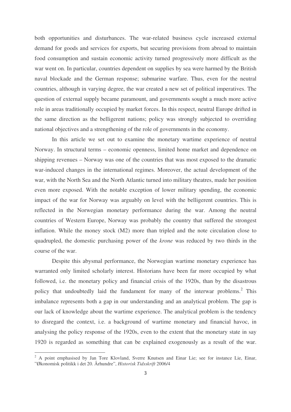both opportunities and disturbances. The war-related business cycle increased external demand for goods and services for exports, but securing provisions from abroad to maintain food consumption and sustain economic activity turned progressively more difficult as the war went on. In particular, countries dependent on supplies by sea were harmed by the British naval blockade and the German response; submarine warfare. Thus, even for the neutral countries, although in varying degree, the war created a new set of political imperatives. The question of external supply became paramount, and governments sought a much more active role in areas traditionally occupied by market forces. In this respect, neutral Europe drifted in the same direction as the belligerent nations; policy was strongly subjected to overriding national objectives and a strengthening of the role of governments in the economy.

In this article we set out to examine the monetary wartime experience of neutral Norway. In structural terms – economic openness, limited home market and dependence on shipping revenues – Norway was one of the countries that was most exposed to the dramatic war-induced changes in the international regimes. Moreover, the actual development of the war, with the North Sea and the North Atlantic turned into military theatres, made her position even more exposed. With the notable exception of lower military spending, the economic impact of the war for Norway was arguably on level with the belligerent countries. This is reflected in the Norwegian monetary performance during the war. Among the neutral countries of Western Europe, Norway was probably the country that suffered the strongest inflation. While the money stock (M2) more than tripled and the note circulation close to quadrupled, the domestic purchasing power of the *krone* was reduced by two thirds in the course of the war.

Despite this abysmal performance, the Norwegian wartime monetary experience has warranted only limited scholarly interest. Historians have been far more occupied by what followed, i.e. the monetary policy and financial crisis of the 1920s, than by the disastrous policy that undoubtedly laid the fundament for many of the interwar problems.<sup>2</sup> This imbalance represents both a gap in our understanding and an analytical problem. The gap is our lack of knowledge about the wartime experience. The analytical problem is the tendency to disregard the context, i.e. a background of wartime monetary and financial havoc, in analysing the policy response of the 1920s, even to the extent that the monetary state in say 1920 is regarded as something that can be explained exogenously as a result of the war.

<sup>&</sup>lt;sup>2</sup> A point emphasised by Jan Tore Klovland, Sverre Knutsen and Einar Lie; see for instance Lie, Einar, ӯkonomisk politikk i det 20. Århundre", *Historisk Tidsskrift* 2006/4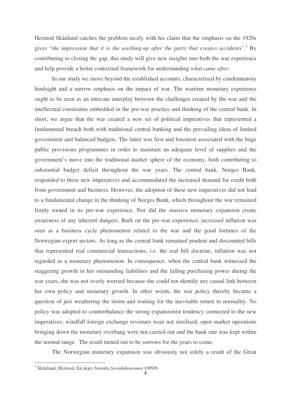Hermod Skånland catches the problem nicely with his claim that the emphasis on the 1920s gives "*the impression that it is the washing-up after the party that creates accidents*". <sup>3</sup> By contributing to closing the gap, this study will give new insights into both the war experience and help provide a better contextual framework for understanding *what came after*.

In our study we move beyond the established accounts, characterised by condemnatory hindsight and a narrow emphasis on the impact of war. The wartime monetary experience ought to be seen as an intricate interplay between the challenges created by the war and the intellectual constraints embedded in the pre-war practice and thinking of the central bank. In short, we argue that the war created a new set of political imperatives that represented a fundamental breach both with traditional central banking and the prevailing ideas of limited government and balanced budgets. The latter was first and foremost associated with the huge public provisions programmes in order to maintain an adequate level of supplies and the government's move into the traditional market sphere of the economy, both contributing to substantial budget deficit throughout the war years. The central bank, Norges Bank, responded to these new imperatives and accommodated the increased demand for credit both from government and business. However, the adoption of these new imperatives did not lead to a fundamental change in the thinking of Norges Bank, which throughout the war remained firmly rooted in its pre-war experience. Nor did the massive monetary expansion create awareness of any inherent dangers. Built on the pre-war experience, increased inflation was seen as a business cycle phenomenon related to the war and the good fortunes of the Norwegian export sectors. As long as the central bank remained prudent and discounted bills that represented real commercial transactions; i.e. the real bill doctrine, inflation was not regarded as a monetary phenomenon. In consequence, when the central bank witnessed the staggering growth in her outstanding liabilities and the falling purchasing power during the war years, she was not overly worried because she could not identify any casual link between her own policy and monetary growth. In other words, the war policy thereby became a question of just weathering the storm and waiting for the inevitable return to normality. No policy was adopted to counterbalance the strong expansionist tendency connected to the new imperatives: windfall foreign exchange revenues were not sterilised, open market operations bringing down the monetary overhang were not carried out and the bank rate was kept within the normal range. The result turned out to be sorrows for the years to come.

The Norwegian monetary expansion was obviously not solely a result of the Great

-----

------------------------------------------------

<sup>-</sup>-----3 Skånland, Hermod, En skjev historie*,Sosialøkonomen* 1999/8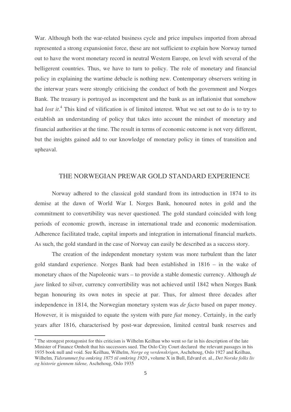War. Although both the war-related business cycle and price impulses imported from abroad represented a strong expansionist force, these are not sufficient to explain how Norway turned out to have the worst monetary record in neutral Western Europe, on level with several of the belligerent countries. Thus, we have to turn to policy. The role of monetary and financial policy in explaining the wartime debacle is nothing new. Contemporary observers writing in the interwar years were strongly criticising the conduct of both the government and Norges Bank. The treasury is portrayed as incompetent and the bank as an inflationist that somehow had *lost it*. 4 This kind of vilification is of limited interest. What we set out to do is to try to establish an understanding of policy that takes into account the mindset of monetary and financial authorities at the time. The result in terms of economic outcome is not very different, but the insights gained add to our knowledge of monetary policy in times of transition and upheaval.

#### THE NORWEGIAN PREWAR GOLD STANDARD EXPERIENCE

Norway adhered to the classical gold standard from its introduction in 1874 to its demise at the dawn of World War I. Norges Bank, honoured notes in gold and the commitment to convertibility was never questioned. The gold standard coincided with long periods of economic growth, increase in international trade and economic modernisation. Adherence facilitated trade, capital imports and integration in international financial markets. As such, the gold standard in the case of Norway can easily be described as a success story.

The creation of the independent monetary system was more turbulent than the later gold standard experience. Norges Bank had been established in 1816 – in the wake of monetary chaos of the Napoleonic wars – to provide a stable domestic currency. Although *de jure* linked to silver, currency convertibility was not achieved until 1842 when Norges Bank began honouring its own notes in specie at par. Thus, for almost three decades after independence in 1814, the Norwegian monetary system was *de facto* based on paper money. However, it is misguided to equate the system with pure *fiat* money. Certainly, in the early years after 1816, characterised by post-war depression, limited central bank reserves and

<sup>&</sup>lt;sup>4</sup> The strongest protagonist for this criticism is Wilhelm Keilhau who went so far in his description of the late Minister of Finance Omholt that his successors sued. The Oslo City Court declared the relevant passages in his 1935 book null and void. See Keilhau, Wilhelm, *Norge og verdenskrigen*, Aschehoug, Oslo 1927 and Keilhau, Wilhelm, *Tidsrummet fra omkring 1875 til omkring 1920* **,** volume X in Bull, Edvard et. al., *Det Norske folks liv og historie gjennem tidene,* Aschehoug, Oslo 1935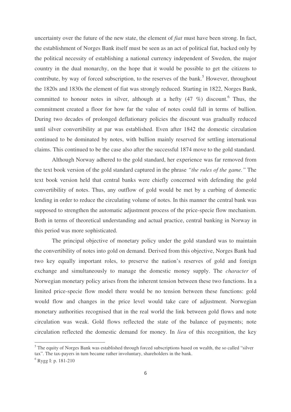uncertainty over the future of the new state, the element of *fiat* must have been strong. In fact, the establishment of Norges Bank itself must be seen as an act of political fiat, backed only by the political necessity of establishing a national currency independent of Sweden, the major country in the dual monarchy, on the hope that it would be possible to get the citizens to contribute, by way of forced subscription, to the reserves of the bank.<sup>5</sup> However, throughout the 1820s and 1830s the element of fiat was strongly reduced. Starting in 1822, Norges Bank, committed to honour notes in silver, although at a hefty  $(47, \%$ ) discount.<sup>6</sup> Thus, the commitment created a floor for how far the value of notes could fall in terms of bullion. During two decades of prolonged deflationary policies the discount was gradually reduced until silver convertibility at par was established. Even after 1842 the domestic circulation continued to be dominated by notes, with bullion mainly reserved for settling international claims. This continued to be the case also after the successful 1874 move to the gold standard.

Although Norway adhered to the gold standard, her experience was far removed from the text book version of the gold standard captured in the phrase *"the rules of the game."* The text book version held that central banks were chiefly concerned with defending the gold convertibility of notes. Thus, any outflow of gold would be met by a curbing of domestic lending in order to reduce the circulating volume of notes. In this manner the central bank was supposed to strengthen the automatic adjustment process of the price-specie flow mechanism. Both in terms of theoretical understanding and actual practice, central banking in Norway in this period was more sophisticated.

The principal objective of monetary policy under the gold standard was to maintain the convertibility of notes into gold on demand. Derived from this objective, Norges Bank had two key equally important roles, to preserve the nation's reserves of gold and foreign exchange and simultaneously to manage the domestic money supply. The *character* of Norwegian monetary policy arises from the inherent tension between these two functions. In a limited price-specie flow model there would be no tension between these functions: gold would flow and changes in the price level would take care of adjustment. Norwegian monetary authorities recognised that in the real world the link between gold flows and note circulation was weak. Gold flows reflected the state of the balance of payments; note circulation reflected the domestic demand for money. In *lieu* of this recognition, the key

<sup>&</sup>lt;sup>5</sup> The equity of Norges Bank was established through forced subscriptions based on wealth, the so called "silver" tax". The tax-payers in turn became rather involuntary, shareholders in the bank.

<sup>6</sup> Rygg I: p. 181-210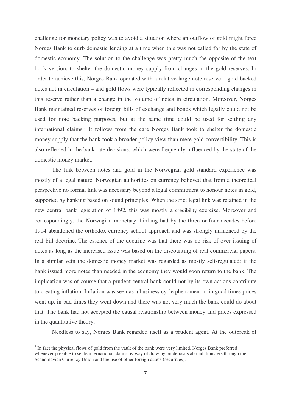challenge for monetary policy was to avoid a situation where an outflow of gold might force Norges Bank to curb domestic lending at a time when this was not called for by the state of domestic economy. The solution to the challenge was pretty much the opposite of the text book version, to shelter the domestic money supply from changes in the gold reserves. In order to achieve this, Norges Bank operated with a relative large note reserve – gold-backed notes not in circulation – and gold flows were typically reflected in corresponding changes in this reserve rather than a change in the volume of notes in circulation. Moreover, Norges Bank maintained reserves of foreign bills of exchange and bonds which legally could not be used for note backing purposes, but at the same time could be used for settling any international claims. 7 It follows from the care Norges Bank took to shelter the domestic money supply that the bank took a broader policy view than mere gold convertibility. This is also reflected in the bank rate decisions, which were frequently influenced by the state of the domestic money market.

The link between notes and gold in the Norwegian gold standard experience was mostly of a legal nature. Norwegian authorities on currency believed that from a theoretical perspective no formal link was necessary beyond a legal commitment to honour notes in gold, supported by banking based on sound principles. When the strict legal link was retained in the new central bank legislation of 1892, this was mostly a credibility exercise. Moreover and correspondingly, the Norwegian monetary thinking had by the three or four decades before 1914 abandoned the orthodox currency school approach and was strongly influenced by the real bill doctrine. The essence of the doctrine was that there was no risk of over-issuing of notes as long as the increased issue was based on the discounting of real commercial papers. In a similar vein the domestic money market was regarded as mostly self-regulated: if the bank issued more notes than needed in the economy they would soon return to the bank. The implication was of course that a prudent central bank could not by its own actions contribute to creating inflation. Inflation was seen as a business cycle phenomenon: in good times prices went up, in bad times they went down and there was not very much the bank could do about that. The bank had not accepted the causal relationship between money and prices expressed in the quantitative theory.

Needless to say, Norges Bank regarded itself as a prudent agent. At the outbreak of

 $<sup>7</sup>$  In fact the physical flows of gold from the vault of the bank were very limited. Norges Bank preferred</sup> whenever possible to settle international claims by way of drawing on deposits abroad, transfers through the Scandinavian Currency Union and the use of other foreign assets (securities).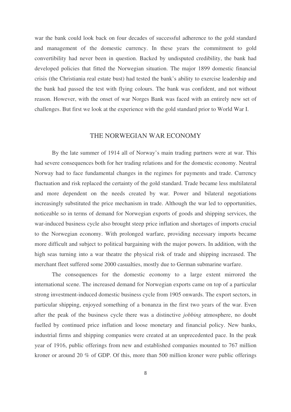war the bank could look back on four decades of successful adherence to the gold standard and management of the domestic currency. In these years the commitment to gold convertibility had never been in question. Backed by undisputed credibility, the bank had developed policies that fitted the Norwegian situation. The major 1899 domestic financial crisis (the Christiania real estate bust) had tested the bank's ability to exercise leadership and the bank had passed the test with flying colours. The bank was confident, and not without reason. However, with the onset of war Norges Bank was faced with an entirely new set of challenges. But first we look at the experience with the gold standard prior to World War I.

#### THE NORWEGIAN WAR ECONOMY

By the late summer of 1914 all of Norway's main trading partners were at war. This had severe consequences both for her trading relations and for the domestic economy. Neutral Norway had to face fundamental changes in the regimes for payments and trade. Currency fluctuation and risk replaced the certainty of the gold standard. Trade became less multilateral and more dependent on the needs created by war. Power and bilateral negotiations increasingly substituted the price mechanism in trade. Although the war led to opportunities, noticeable so in terms of demand for Norwegian exports of goods and shipping services, the war-induced business cycle also brought steep price inflation and shortages of imports crucial to the Norwegian economy. With prolonged warfare, providing necessary imports became more difficult and subject to political bargaining with the major powers. In addition, with the high seas turning into a war theatre the physical risk of trade and shipping increased. The merchant fleet suffered some 2000 casualties, mostly due to German submarine warfare.

The consequences for the domestic economy to a large extent mirrored the international scene. The increased demand for Norwegian exports came on top of a particular strong investment-induced domestic business cycle from 1905 onwards. The export sectors, in particular shipping, enjoyed something of a bonanza in the first two years of the war. Even after the peak of the business cycle there was a distinctive *jobbing* atmosphere, no doubt fuelled by continued price inflation and loose monetary and financial policy. New banks, industrial firms and shipping companies were created at an unprecedented pace. In the peak year of 1916, public offerings from new and established companies mounted to 767 million kroner or around 20 % of GDP. Of this, more than 500 million kroner were public offerings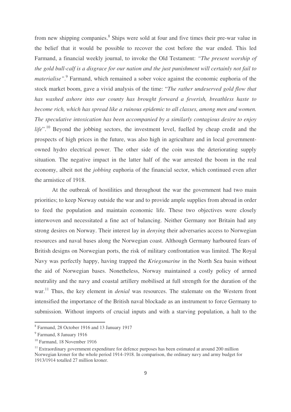from new shipping companies.<sup>8</sup> Ships were sold at four and five times their pre-war value in the belief that it would be possible to recover the cost before the war ended. This led Farmand, a financial weekly journal, to invoke the Old Testament: *"The present worship of the gold bull-calf is a disgrace for our nation and the just punishment will certainly not fail to* materialise".<sup>9</sup> Farmand, which remained a sober voice against the economic euphoria of the stock market boom, gave a vivid analysis of the time: "*The rather undeserved gold flow that has washed ashore into our county has brought forward a feverish, breathless haste to become rich, which has spread like a ruinous epidemic to all classes, among men and women. The speculative intoxication has been accompanied by a similarly contagious desire to enjoy* life".<sup>10</sup> Beyond the jobbing sectors, the investment level, fuelled by cheap credit and the prospects of high prices in the future, was also high in agriculture and in local governmentowned hydro electrical power. The other side of the coin was the deteriorating supply situation. The negative impact in the latter half of the war arrested the boom in the real economy, albeit not the *jobbing* euphoria of the financial sector, which continued even after the armistice of 1918.

At the outbreak of hostilities and throughout the war the government had two main priorities; to keep Norway outside the war and to provide ample supplies from abroad in order to feed the population and maintain economic life. These two objectives were closely interwoven and necessitated a fine act of balancing. Neither Germany nor Britain had any strong desires on Norway. Their interest lay in *denying* their adversaries access to Norwegian resources and naval bases along the Norwegian coast. Although Germany harboured fears of British designs on Norwegian ports, the risk of military confrontation was limited. The Royal Navy was perfectly happy, having trapped the *Kriegsmarine* in the North Sea basin without the aid of Norwegian bases. Nonetheless, Norway maintained a costly policy of armed neutrality and the navy and coastal artillery mobilised at full strength for the duration of the war. 11 Thus, the key element in *denial* was resources. The stalemate on the Western front intensified the importance of the British naval blockade as an instrument to force Germany to submission. Without imports of crucial inputs and with a starving population, a halt to the

----------------

-------------------------------------

<sup>-</sup>-----8 Farmand, 28 October 1916 and 13 January 1917

<sup>&</sup>lt;sup>9</sup> Farmand, 8 January 1916

<sup>&</sup>lt;sup>10</sup> Farmand, 18 November 1916

<sup>&</sup>lt;sup>11</sup> Extraordinary government expenditure for defence purposes has been estimated at around 200 million Norwegian kroner for the whole period 1914-1918. In comparison, the ordinary navy and army budget for 1913/1914 totalled 27 million kroner.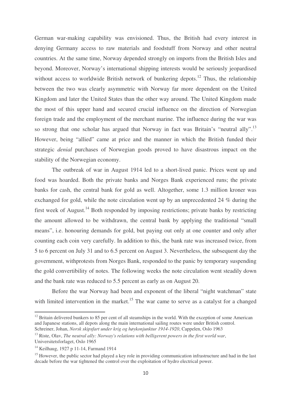German war-making capability was envisioned. Thus, the British had every interest in denying Germany access to raw materials and foodstuff from Norway and other neutral countries. At the same time, Norway depended strongly on imports from the British Isles and beyond. Moreover, Norway's international shipping interests would be seriously jeopardised without access to worldwide British network of bunkering depots.<sup>12</sup> Thus, the relationship between the two was clearly asymmetric with Norway far more dependent on the United Kingdom and later the United States than the other way around. The United Kingdom made the most of this upper hand and secured crucial influence on the direction of Norwegian foreign trade and the employment of the merchant marine. The influence during the war was so strong that one scholar has argued that Norway in fact was Britain's "neutral ally".<sup>13</sup> However, being "allied" came at price and the manner in which the British funded their strategic *denial* purchases of Norwegian goods proved to have disastrous impact on the stability of the Norwegian economy.

The outbreak of war in August 1914 led to a short-lived panic. Prices went up and food was hoarded. Both the private banks and Norges Bank experienced runs; the private banks for cash, the central bank for gold as well. Altogether, some 1.3 million kroner was exchanged for gold, while the note circulation went up by an unprecedented 24 % during the first week of August.<sup>14</sup> Both responded by imposing restrictions; private banks by restricting the amount allowed to be withdrawn, the central bank by applying the traditional "small means", i.e. honouring demands for gold, but paying out only at one counter and only after counting each coin very carefully. In addition to this, the bank rate was increased twice, from 5 to 6 percent on July 31 and to 6.5 percent on August 3. Nevertheless, the subsequent day the government, withprotests from Norges Bank, responded to the panic by temporary suspending the gold convertibility of notes. The following weeks the note circulation went steadily down and the bank rate was reduced to 5.5 percent as early as on August 20.

Before the war Norway had been and exponent of the liberal "night watchman" state with limited intervention in the market.<sup>15</sup> The war came to serve as a catalyst for a changed

 $12$  Britain delivered bunkers to 85 per cent of all steamships in the world. With the exception of some American and Japanese stations, all depots along the main international sailing routes were under British control. Schreiner, Johan, *Norsk skipsfart under krig og høykonjunktur 1914-1920*, Cappelen, Oslo 1963

<sup>13</sup> Riste, Olav, *The neutral ally: Norway's relations with belligerent powers in the first world war*, Universitetsforlaget, Oslo 1965

<sup>&</sup>lt;sup>14</sup> Keilhaug, 1927 p 11-14, Farmand 1914

<sup>&</sup>lt;sup>15</sup> However, the public sector had played a key role in providing communication infrastructure and had in the last decade before the war tightened the control over the exploitation of hydro electrical power.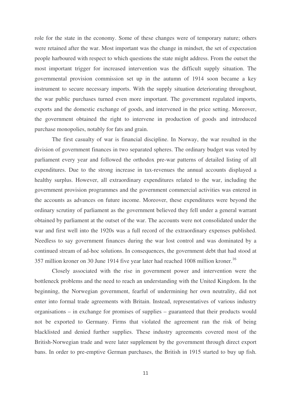role for the state in the economy. Some of these changes were of temporary nature; others were retained after the war. Most important was the change in mindset, the set of expectation people harboured with respect to which questions the state might address. From the outset the most important trigger for increased intervention was the difficult supply situation. The governmental provision commission set up in the autumn of 1914 soon became a key instrument to secure necessary imports. With the supply situation deteriorating throughout, the war public purchases turned even more important. The government regulated imports, exports and the domestic exchange of goods, and intervened in the price setting. Moreover, the government obtained the right to intervene in production of goods and introduced purchase monopolies, notably for fats and grain.

The first casualty of war is financial discipline. In Norway, the war resulted in the division of government finances in two separated spheres. The ordinary budget was voted by parliament every year and followed the orthodox pre-war patterns of detailed listing of all expenditures. Due to the strong increase in tax-revenues the annual accounts displayed a healthy surplus. However, all extraordinary expenditures related to the war, including the government provision programmes and the government commercial activities was entered in the accounts as advances on future income. Moreover, these expenditures were beyond the ordinary scrutiny of parliament as the government believed they fell under a general warrant obtained by parliament at the outset of the war. The accounts were not consolidated under the war and first well into the 1920s was a full record of the extraordinary expenses published. Needless to say government finances during the war lost control and was dominated by a continued stream of ad-hoc solutions. In consequences, the government debt that had stood at 357 million kroner on 30 June 1914 five year later had reached 1008 million kroner.<sup>16</sup>

Closely associated with the rise in government power and intervention were the bottleneck problems and the need to reach an understanding with the United Kingdom. In the beginning, the Norwegian government, fearful of undermining her own neutrality, did not enter into formal trade agreements with Britain. Instead, representatives of various industry organisations – in exchange for promises of supplies – guaranteed that their products would not be exported to Germany. Firms that violated the agreement ran the risk of being blacklisted and denied further supplies. These industry agreements covered most of the British-Norwegian trade and were later supplement by the government through direct export bans. In order to pre-emptive German purchases, the British in 1915 started to buy up fish.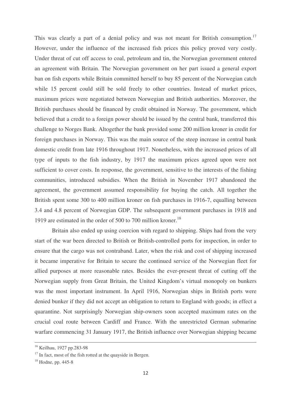This was clearly a part of a denial policy and was not meant for British consumption.<sup>17</sup> However, under the influence of the increased fish prices this policy proved very costly. Under threat of cut off access to coal, petroleum and tin, the Norwegian government entered an agreement with Britain. The Norwegian government on her part issued a general export ban on fish exports while Britain committed herself to buy 85 percent of the Norwegian catch while 15 percent could still be sold freely to other countries. Instead of market prices, maximum prices were negotiated between Norwegian and British authorities. Moreover, the British purchases should be financed by credit obtained in Norway. The government, which believed that a credit to a foreign power should be issued by the central bank, transferred this challenge to Norges Bank. Altogether the bank provided some 200 million kroner in credit for foreign purchases in Norway. This was the main source of the steep increase in central bank domestic credit from late 1916 throughout 1917. Nonetheless, with the increased prices of all type of inputs to the fish industry, by 1917 the maximum prices agreed upon were not sufficient to cover costs. In response, the government, sensitive to the interests of the fishing communities, introduced subsidies. When the British in November 1917 abandoned the agreement, the government assumed responsibility for buying the catch. All together the British spent some 300 to 400 million kroner on fish purchases in 1916-7, equalling between 3.4 and 4.8 percent of Norwegian GDP. The subsequent government purchases in 1918 and 1919 are estimated in the order of 500 to 700 million kroner. 18

Britain also ended up using coercion with regard to shipping. Ships had from the very start of the war been directed to British or British-controlled ports for inspection, in order to ensure that the cargo was not contraband. Later, when the risk and cost of shipping increased it became imperative for Britain to secure the continued service of the Norwegian fleet for allied purposes at more reasonable rates. Besides the ever-present threat of cutting off the Norwegian supply from Great Britain, the United Kingdom's virtual monopoly on bunkers was the most important instrument. In April 1916, Norwegian ships in British ports were denied bunker if they did not accept an obligation to return to England with goods; in effect a quarantine. Not surprisingly Norwegian ship-owners soon accepted maximum rates on the crucial coal route between Cardiff and France. With the unrestricted German submarine warfare commencing 31 January 1917, the British influence over Norwegian shipping became

--------------------------------------------------------------------------------------------------------------------------------------------

<sup>-</sup>--------------------------------------------<sup>16</sup> Keilhau, 1927 pp.283-98

 $17$  In fact, most of the fish rotted at the quayside in Bergen.

 $18$  Hodne, pp. 445-8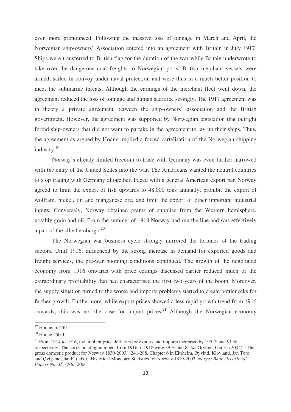even more pronounced. Following the massive loss of tonnage in March and April, the Norwegian ship-owners' Association entered into an agreement with Britain in July 1917. Ships were transferred to British flag for the duration of the war while Britain underwrote to take over the dangerous coal freights to Norwegian ports. British merchant vessels were armed, sailed in convoy under naval protection and were thus in a much better position to meet the submarine threats. Although the earnings of the merchant fleet went down, the agreement reduced the loss of tonnage and human sacrifice strongly. The 1917 agreement was in theory a private agreement between the ship-owners' association and the British government. However, the agreement was supported by Norwegian legislation that outright forbid ship-owners that did not want to partake in the agreement to lay up their ships. Thus, the agreement as argued by Hodne implied a forced cartelisation of the Norwegian shipping industry. 19

Norway's already limited freedom to trade with Germany was even further narrowed with the entry of the United States into the war. The Americans wanted the neutral countries to stop trading with Germany altogether. Faced with a general American export ban Norway agreed to limit the export of fish upwards to 48,000 tons annually, prohibit the export of wolfram, nickel, tin and manganese ore, and limit the export of other important industrial inputs. Conversely, Norway obtained grants of supplies from the Western hemisphere, notably grain and oil. From the summer of 1918 Norway had run the line and was effectively a part of the allied embargo.<sup>20</sup>

The Norwegian war business cycle strongly mirrored the fortunes of the trading sectors. Until 1916, influenced by the strong increase in demand for exported goods and freight services, the pre-war booming conditions continued. The growth of the negotiated economy from 1916 onwards with price ceilings discussed earlier reduced much of the extraordinary profitability that had characterised the first two years of the boom. Moreover, the supply situation turned to the worse and imports problems started to create bottlenecks for further growth. Furthermore, while export prices showed a less rapid growth trend from 1916 onwards, this was not the case for import prices.<sup>21</sup> Although the Norwegian economy

-------------------------------------------

----------

<sup>-</sup>-----<sup>19</sup> Hodne, p. 449

<sup>20</sup> Hodne 450-1

<sup>&</sup>lt;sup>21</sup> From 1914 to 1916, the implicit price deflators for exports and imports increased by 195 % and 91 % respectively. The corresponding numbers from 1916 to 1918 were 39 % and 84 %. Grytten, Ola H. (2004). "The gross domestic product for Norway 1830-2003", 241-288, Chapter 6 in Eitrheim, Øyvind, Klovland, Jan Tore and Qvigstad, Jan F. (eds.), Historical Monetary Statistics for Norway 1819-2003, *Norges Bank Occasional Papers No. 35, Oslo*, 2004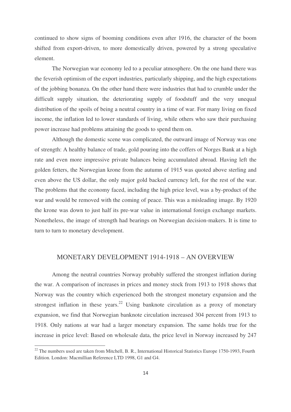continued to show signs of booming conditions even after 1916, the character of the boom shifted from export-driven, to more domestically driven, powered by a strong speculative element.

The Norwegian war economy led to a peculiar atmosphere. On the one hand there was the feverish optimism of the export industries, particularly shipping, and the high expectations of the jobbing bonanza. On the other hand there were industries that had to crumble under the difficult supply situation, the deteriorating supply of foodstuff and the very unequal distribution of the spoils of being a neutral country in a time of war. For many living on fixed income, the inflation led to lower standards of living, while others who saw their purchasing power increase had problems attaining the goods to spend them on.

Although the domestic scene was complicated, the outward image of Norway was one of strength: A healthy balance of trade, gold pouring into the coffers of Norges Bank at a high rate and even more impressive private balances being accumulated abroad. Having left the golden fetters, the Norwegian krone from the autumn of 1915 was quoted above sterling and even above the US dollar, the only major gold backed currency left, for the rest of the war. The problems that the economy faced, including the high price level, was a by-product of the war and would be removed with the coming of peace. This was a misleading image. By 1920 the krone was down to just half its pre-war value in international foreign exchange markets. Nonetheless, the image of strength had bearings on Norwegian decision-makers. It is time to turn to turn to monetary development.

#### MONETARY DEVELOPMENT 1914-1918 – AN OVERVIEW

Among the neutral countries Norway probably suffered the strongest inflation during the war. A comparison of increases in prices and money stock from 1913 to 1918 shows that Norway was the country which experienced both the strongest monetary expansion and the strongest inflation in these years. $22$  Using banknote circulation as a proxy of monetary expansion, we find that Norwegian banknote circulation increased 304 percent from 1913 to 1918. Only nations at war had a larger monetary expansion. The same holds true for the increase in price level: Based on wholesale data, the price level in Norway increased by 247

 $^{22}$  The numbers used are taken from Mitchell, B. R., International Historical Statistics Europe 1750-1993, Fourth Edition. London: Macmillian Reference LTD 1998, G1 and G4.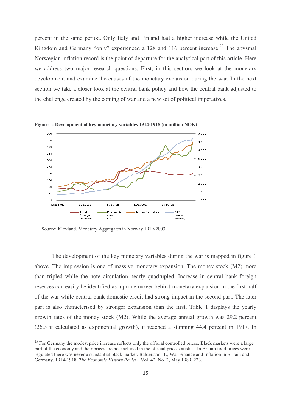percent in the same period. Only Italy and Finland had a higher increase while the United Kingdom and Germany "only" experienced a 128 and 116 percent increase.<sup>23</sup> The abysmal Norwegian inflation record is the point of departure for the analytical part of this article. Here we address two major research questions. First, in this section, we look at the monetary development and examine the causes of the monetary expansion during the war. In the next section we take a closer look at the central bank policy and how the central bank adjusted to the challenge created by the coming of war and a new set of political imperatives.



**Figure 1: Development of key monetary variables 1914-1918 (in million NOK)**

-----------------------------------------------------------

The development of the key monetary variables during the war is mapped in figure 1 above. The impression is one of massive monetary expansion. The money stock (M2) more than tripled while the note circulation nearly quadrupled. Increase in central bank foreign reserves can easily be identified as a prime mover behind monetary expansion in the first half of the war while central bank domestic credit had strong impact in the second part. The later part is also characterised by stronger expansion than the first. Table 1 displays the yearly growth rates of the money stock (M2). While the average annual growth was 29.2 percent (26.3 if calculated as exponential growth), it reached a stunning 44.4 percent in 1917. In

Source: Klovland, Monetary Aggregates in Norway 1919-2003

<sup>&</sup>lt;sup>23</sup> For Germany the modest price increase reflects only the official controlled prices. Black markets were a large part of the economy and their prices are not included in the official price statistics. In Britain food prices were regulated there was never a substantial black market. Balderston, T., War Finance and Inflation in Britain and Germany, 1914-1918, *The Economic History Review*, Vol. 42, No. 2, May 1989, 223.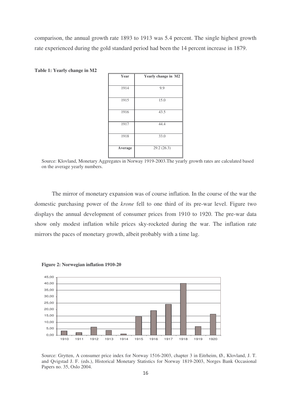comparison, the annual growth rate 1893 to 1913 was 5.4 percent. The single highest growth rate experienced during the gold standard period had been the 14 percent increase in 1879.

| Year    | Yearly change in M2 |  |  |  |
|---------|---------------------|--|--|--|
| 1914    | 9.9                 |  |  |  |
| 1915    | 15.0                |  |  |  |
| 1916    | 43.5                |  |  |  |
| 1917    | 44.4                |  |  |  |
| 1918    | 33.0                |  |  |  |
| Average | 29.2(26.3)          |  |  |  |

**Table 1: Yearly change in M2**

Source: Klovland, Monetary Aggregates in Norway 1919-2003.The yearly growth rates are calculated based on the average yearly numbers.

The mirror of monetary expansion was of course inflation. In the course of the war the domestic purchasing power of the *krone* fell to one third of its pre-war level. Figure two displays the annual development of consumer prices from 1910 to 1920. The pre-war data show only modest inflation while prices sky-rocketed during the war. The inflation rate mirrors the paces of monetary growth, albeit probably with a time lag.



**Figure 2: Norwegian inflation 1910-20**

Source: Grytten, A consumer price index for Norway 1516-2003, chapter 3 in Eitrheim, Ø., Klovland, J. T. and Qvigstad J. F. (eds.), Historical Monetary Statistics for Norway 1819-2003, Norges Bank Occasional Papers no. 35, Oslo 2004.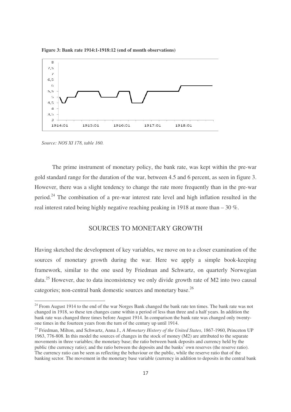**Figure 3: Bank rate 1914:1-1918:12 (end of month observations)**



*Source: NOS XI 178, table 160.*

-----------------------------------------------------------

The prime instrument of monetary policy, the bank rate, was kept within the pre-war gold standard range for the duration of the war, between 4.5 and 6 percent, as seen in figure 3. However, there was a slight tendency to change the rate more frequently than in the pre-war period.<sup>24</sup> The combination of a pre-war interest rate level and high inflation resulted in the real interest rated being highly negative reaching peaking in 1918 at more than – 30 %.

#### SOURCES TO MONETARY GROWTH

Having sketched the development of key variables, we move on to a closer examination of the sources of monetary growth during the war. Here we apply a simple book-keeping framework, similar to the one used by Friedman and Schwartz, on quarterly Norwegian data.<sup>25</sup> However, due to data inconsistency we only divide growth rate of M2 into two causal categories; non-central bank domestic sources and monetary base.<sup>26</sup>

<sup>&</sup>lt;sup>24</sup> From August 1914 to the end of the war Norges Bank changed the bank rate ten times. The bank rate was not changed in 1918, so these ten changes came within a period of less than three and a half years. In addition the bank rate was changed three times before August 1914. In comparison the bank rate was changed only twentyone times in the fourteen years from the turn of the century up until 1914.

<sup>25</sup> Friedman, Milton, and Schwartz, Anna J., *A Monetary History of the United States*, 1867-1960, Princeton UP 1963, 776-808. In this model the sources of changes in the stock of money (M2) are attributed to the separate movements in three variables; the monetary base; the ratio between bank deposits and currency held by the public (the currency ratio); and the ratio between the deposits and the banks' own reserves (the reserve ratio). The currency ratio can be seen as reflecting the behaviour or the public, while the reserve ratio that of the banking sector. The movement in the monetary base variable (currency in addition to deposits in the central bank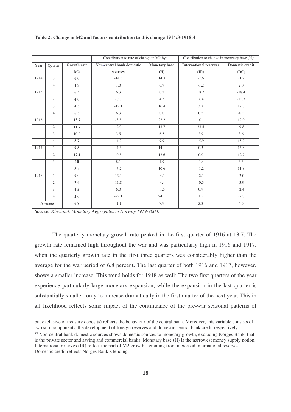|      |                |                    | Contribution to rate of change in M2 by: |                      | Contribution to change in monetary base (H): |                        |
|------|----------------|--------------------|------------------------------------------|----------------------|----------------------------------------------|------------------------|
| Year | Quarter        | <b>Growth rate</b> | Non-central bank domestic                | <b>Monetary</b> base | <b>International reserves</b>                | <b>Domestic credit</b> |
|      |                | M <sub>2</sub>     | sources                                  | (H)                  | (IR)                                         | (DC)                   |
| 1914 | $\overline{3}$ | 0.0                | $-14.3$                                  | 14.3                 | $-7.6$                                       | 21.9                   |
|      | $\overline{4}$ | 1.9                | 1.0                                      | 0.9                  | $-1.2$                                       | 2.0                    |
| 1915 | $\mathbf{1}$   | 6.5                | 6.3                                      | 0.2                  | 18.7                                         | $-18.4$                |
|      | $\overline{2}$ | 4.0                | $-0.3$                                   | 4.3                  | 16.6                                         | $-12.3$                |
|      | $\overline{3}$ | 4.3                | $-12.1$                                  | 16.4                 | 3.7                                          | 12.7                   |
|      | $\overline{4}$ | 6.3                | 6.3                                      | 0.0                  | 0.2                                          | $-0.2$                 |
| 1916 | $\mathbf{1}$   | 13.7               | $-8.5$                                   | 22.2                 | 10.1                                         | 12.0                   |
|      | $\mathfrak{2}$ | 11.7               | $-2.0$                                   | 13.7                 | 23.5                                         | $-9.8$                 |
|      | 3              | 10.0               | 3.5                                      | 6.5                  | 2.9                                          | 3.6                    |
|      | $\overline{4}$ | 5.7                | $-4.2$                                   | 9.9                  | $-5.9$                                       | 15.9                   |
| 1917 | $\mathbf{1}$   | 9.8                | $-4.3$                                   | 14.1                 | 0.3                                          | 13.8                   |
|      | $\overline{2}$ | 12.1               | $-0.5$                                   | 12.6                 | 0.0                                          | 12.7                   |
|      | $\overline{3}$ | $\overline{10}$    | 8.1                                      | $\overline{1.9}$     | $-1.4$                                       | 3.3                    |
|      | $\overline{4}$ | 3.4                | $-7.2$                                   | 10.6                 | $-1.2$                                       | 11.8                   |
| 1918 | $\mathbf{1}$   | 9.0                | 13.1                                     | $-4.1$               | $-2.1$                                       | $-2.0$                 |
|      | $\overline{2}$ | 7.4                | 11.8                                     | $-4.4$               | $-0.5$                                       | $-3.9$                 |
|      | 3              | 4.5                | 6.0                                      | $-1.5$               | 0.9                                          | $-2.4$                 |
|      | $\overline{4}$ | 2.0                | $-22.1$                                  | 24.1                 | 1.5                                          | 22.7                   |
|      | Average        | 6.8                | $-1.1$                                   | 7.9                  | 3.3                                          | 4.6                    |

#### **Table 2: Change in M2 and factors contribution to this change 1914:3-1918:4**

*Source: Klovland, Monetary Aggregates in Norway 1919-2003.*

-----------------------------------------------------------------------------------------

The quarterly monetary growth rate peaked in the first quarter of 1916 at 13.7. The growth rate remained high throughout the war and was particularly high in 1916 and 1917, when the quarterly growth rate in the first three quarters was considerably higher than the average for the war period of 6.8 percent. The last quarter of both 1916 and 1917, however, shows a smaller increase. This trend holds for 1918 as well: The two first quarters of the year experience particularly large monetary expansion, while the expansion in the last quarter is substantially smaller, only to increase dramatically in the first quarter of the next year. This in all likelihood reflects some impact of the continuance of the pre-war seasonal patterns of

---------------------------------------------------------------------------------------------

<sup>-</sup>-but exclusive of treasury deposits) reflects the behaviour of the central bank. Moreover, this variable consists of two sub-comp**o**nents, the development of foreign reserves and domestic central bank credit respectively.

<sup>&</sup>lt;sup>26</sup> Non-central bank domestic sources shows domestic sources to monetary growth, excluding Norges Bank, that is the private sector and saving and commercial banks. Monetary base (H) is the narrowest money supply notion. International reserves (IR) reflect the part of M2 growth stemming from increased international reserves. Domestic credit reflects Norges Bank's lending.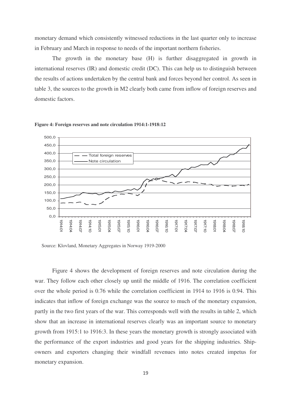monetary demand which consistently witnessed reductions in the last quarter only to increase in February and March in response to needs of the important northern fisheries.

The growth in the monetary base (H) is further disaggregated in growth in international reserves (IR) and domestic credit (DC). This can help us to distinguish between the results of actions undertaken by the central bank and forces beyond her control. As seen in table 3, the sources to the growth in M2 clearly both came from inflow of foreign reserves and domestic factors.





Source: Klovland, Monetary Aggregates in Norway 1919-2000

Figure 4 shows the development of foreign reserves and note circulation during the war. They follow each other closely up until the middle of 1916. The correlation coefficient over the whole period is 0.76 while the correlation coefficient in 1914 to 1916 is 0.94. This indicates that inflow of foreign exchange was the source to much of the monetary expansion, partly in the two first years of the war. This corresponds well with the results in table 2, which show that an increase in international reserves clearly was an important source to monetary growth from 1915:1 to 1916:3. In these years the monetary growth is strongly associated with the performance of the export industries and good years for the shipping industries. Shipowners and exporters changing their windfall revenues into notes created impetus for monetary expansion.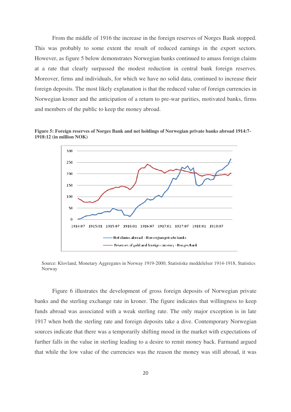From the middle of 1916 the increase in the foreign reserves of Norges Bank stopped. This was probably to some extent the result of reduced earnings in the export sectors. However, as figure 5 below demonstrates Norwegian banks continued to amass foreign claims at a rate that clearly surpassed the modest reduction in central bank foreign reserves. Moreover, firms and individuals, for which we have no solid data, continued to increase their foreign deposits. The most likely explanation is that the reduced value of foreign currencies in Norwegian kroner and the anticipation of a return to pre-war parities, motivated banks, firms and members of the public to keep the money abroad.

**Figure 5: Foreign reserves of Norges Bank and net holdings of Norwegian private banks abroad 1914:7- 1918:12 (in million NOK)**



Source: Klovland, Monetary Aggregates in Norway 1919-2000; Statistiske meddelelser 1914-1918, Statistics Norway

Figure 6 illustrates the development of gross foreign deposits of Norwegian private banks and the sterling exchange rate in kroner. The figure indicates that willingness to keep funds abroad was associated with a weak sterling rate. The only major exception is in late 1917 when both the sterling rate and foreign deposits take a dive. Contemporary Norwegian sources indicate that there was a temporarily shifting mood in the market with expectations of further falls in the value in sterling leading to a desire to remit money back. Farmand argued that while the low value of the currencies was the reason the money was still abroad, it was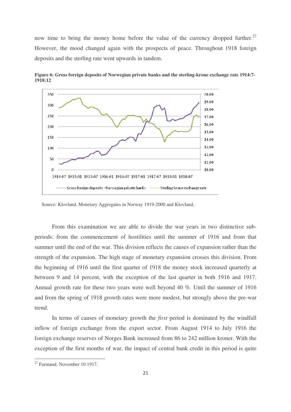now time to bring the money home before the value of the currency dropped further.<sup>27</sup> However, the mood changed again with the prospects of peace. Throughout 1918 foreign deposits and the sterling rate went upwards in tandem.



**Figure 6: Gross foreign deposits of Norwegian private banks and the sterling-krone exchange rate 1914:7- 1918:12**

Source: Klovland, Monetary Aggregates in Norway 1919-2000 and Klovland,

From this examination we are able to divide the war years in two distinctive subperiods: from the commencement of hostilities until the summer of 1916 and from that summer until the end of the war. This division reflects the causes of expansion rather than the strength of the expansion. The high stage of monetary expansion crosses this division. From the beginning of 1916 until the first quarter of 1918 the money stock increased quarterly at between 9 and 14 percent, with the exception of the last quarter in both 1916 and 1917. Annual growth rate for these two years were well beyond 40 %. Until the summer of 1916 and from the spring of 1918 growth rates were more modest, but strongly above the pre-war trend.

In terms of causes of monetary growth the *first* period is dominated by the windfall inflow of foreign exchange from the export sector. From August 1914 to July 1916 the foreign exchange reserves of Norges Bank increased from 86 to 242 million kroner. With the exception of the first months of war, the impact of central bank credit in this period is quite

------

<sup>&</sup>lt;sup>27</sup> Farmand, November 10 1917.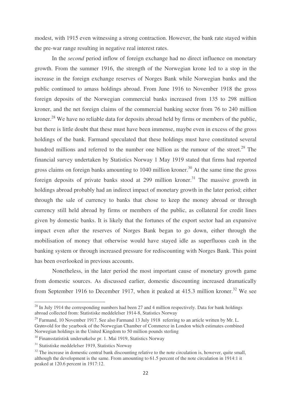the pre-war range resulting in negative real interest rates.

modest, with 1915 even witnessing a strong contraction. However, the bank rate stayed within<br>the pe was range resulting in megative real interest.<br>The performance of the second period influence of foreign exchange had a o In the *second* period inflow of foreign exchange had no direct influence on monetary growth. From the summer 1916, the strength of the Norwegian krone led to a stop in the increase in the foreign exchange reserves of Norges Bank while Norwegian banks and the public continued to amass holdings abroad. From June 1916 to November 1918 the gross foreign deposits of the Norwegian commercial banks increased from 135 to 298 million kroner, and the net foreign claims of the commercial banking sector from 76 to 240 million kroner.<sup>28</sup> We have no reliable data for deposits abroad held by firms or members of the public, but there is little doubt that these must have been immense, maybe even in excess of the gross holdings of the bank. Farmand speculated that these holdings must have constituted several hundred millions and referred to the number one billion as the rumour of the street.<sup>29</sup> The financial survey undertaken by Statistics Norway 1 May 1919 stated that firms had reported gross claims on foreign banks amounting to 1040 million kroner.<sup>30</sup> At the same time the gross foreign deposits of private banks stood at 299 million kroner.<sup>31</sup> The massive growth in holdings abroad probably had an indirect impact of monetary growth in the later period; either through the sale of currency to banks that chose to keep the money abroad or through currency still held abroad by firms or members of the public, as collateral for credit lines given by domestic banks. It is likely that the fortunes of the export sector had an expansive impact even after the reserves of Norges Bank began to go down, either through the mobilisation of money that otherwise would have stayed idle as superfluous cash in the banking system or through increased pressure for rediscounting with Norges Bank. This point has been overlooked in previous accounts.

Nonetheless, in the later period the most important cause of monetary growth game from domestic sources. As discussed earlier, domestic discounting increased dramatically from September 1916 to December 1917, when it peaked at 415.3 million kroner.<sup>32</sup> We see

<sup>&</sup>lt;sup>28</sup> In July 1914 the corresponding numbers had been 27 and 4 million respectively. Data for bank holdings abroad collected from: Statistiske meddelelser 1914-8, Statistics Norway

 $29$  Farmand, 10 November 1917. See also Farmand 13 July 1918 referring to an article written by Mr. L. Grønvold for the yearbook of the Norwegian Chamber of Commerce in London which estimates combined Norwegian holdings in the United Kingdom to 50 million pounds sterling

<sup>&</sup>lt;sup>30</sup> Finansstatistisk undersøkelse pr. 1. Mai 1919, Statistics Norway

<sup>&</sup>lt;sup>31</sup> Statistiske meddelelser 1919, Statistics Norway

 $32$  The increase in domestic central bank discounting relative to the note circulation is, however, quite small, although the development is the same. From amounting to 61.5 percent of the note circulation in 1914:1 it peaked at 120.6 percent in 1917:12.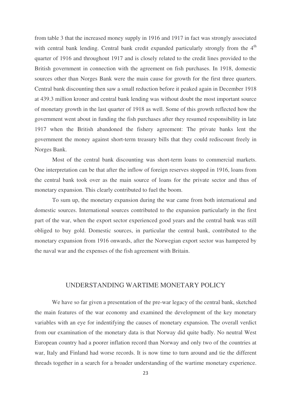from table 3 that the increased money supply in 1916 and 1917 in fact was strongly associated with central bank lending. Central bank credit expanded particularly strongly from the 4<sup>th</sup> quarter of 1916 and throughout 1917 and is closely related to the credit lines provided to the British government in connection with the agreement on fish purchases. In 1918, domestic sources other than Norges Bank were the main cause for growth for the first three quarters. Central bank discounting then saw a small reduction before it peaked again in December 1918 at 439.3 million kroner and central bank lending was without doubt the most important source of monetary growth in the last quarter of 1918 as well. Some of this growth reflected how the government went about in funding the fish purchases after they resumed responsibility in late 1917 when the British abandoned the fishery agreement: The private banks lent the government the money against short-term treasury bills that they could rediscount freely in Norges Bank.

Most of the central bank discounting was short-term loans to commercial markets. One interpretation can be that after the inflow of foreign reserves stopped in 1916, loans from the central bank took over as the main source of loans for the private sector and thus of monetary expansion. This clearly contributed to fuel the boom.

To sum up, the monetary expansion during the war came from both international and domestic sources. International sources contributed to the expansion particularly in the first part of the war, when the export sector experienced good years and the central bank was still obliged to buy gold. Domestic sources, in particular the central bank, contributed to the monetary expansion from 1916 onwards, after the Norwegian export sector was hampered by the naval war and the expenses of the fish agreement with Britain.

#### UNDERSTANDING WARTIME MONETARY POLICY

We have so far given a presentation of the pre-war legacy of the central bank, sketched the main features of the war economy and examined the development of the key monetary variables with an eye for indentifying the causes of monetary expansion. The overall verdict from our examination of the monetary data is that Norway did quite badly. No neutral West European country had a poorer inflation record than Norway and only two of the countries at war, Italy and Finland had worse records. It is now time to turn around and tie the different threads together in a search for a broader understanding of the wartime monetary experience.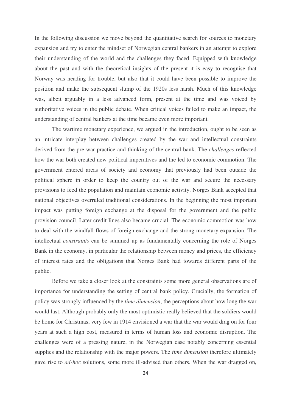In the following discussion we move beyond the quantitative search for sources to monetary expansion and try to enter the mindset of Norwegian central bankers in an attempt to explore their understanding of the world and the challenges they faced. Equipped with knowledge about the past and with the theoretical insights of the present it is easy to recognise that Norway was heading for trouble, but also that it could have been possible to improve the position and make the subsequent slump of the 1920s less harsh. Much of this knowledge was, albeit arguably in a less advanced form, present at the time and was voiced by authoritative voices in the public debate. When critical voices failed to make an impact, the understanding of central bankers at the time became even more important.

The wartime monetary experience, we argued in the introduction, ought to be seen as an intricate interplay between challenges created by the war and intellectual constraints derived from the pre-war practice and thinking of the central bank. The *challenges* reflected how the war both created new political imperatives and the led to economic commotion. The government entered areas of society and economy that previously had been outside the political sphere in order to keep the country out of the war and secure the necessary provisions to feed the population and maintain economic activity. Norges Bank accepted that national objectives overruled traditional considerations. In the beginning the most important impact was putting foreign exchange at the disposal for the government and the public provision council. Later credit lines also became crucial. The economic commotion was how to deal with the windfall flows of foreign exchange and the strong monetary expansion. The intellectual *constraints* can be summed up as fundamentally concerning the role of Norges Bank in the economy, in particular the relationship between money and prices, the efficiency of interest rates and the obligations that Norges Bank had towards different parts of the public.

Before we take a closer look at the constraints some more general observations are of importance for understanding the setting of central bank policy. Crucially, the formation of policy was strongly influenced by the *time dimension*, the perceptions about how long the war would last. Although probably only the most optimistic really believed that the soldiers would be home for Christmas, very few in 1914 envisioned a war that the war would drag on for four years at such a high cost, measured in terms of human loss and economic disruption. The challenges were of a pressing nature, in the Norwegian case notably concerning essential supplies and the relationship with the major powers. The *time dimension* therefore ultimately gave rise to *ad-hoc* solutions, some more ill-advised than others. When the war dragged on,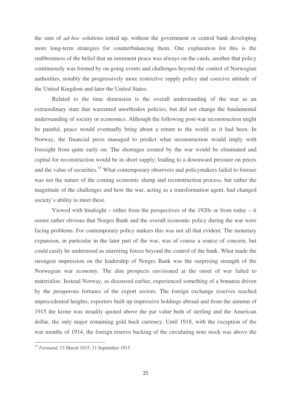the sum of *ad-hoc* solutions totted up, without the government or central bank developing more long-term strategies for counterbalancing them. One explanation for this is the stubbornness of the belief that an imminent peace was always on the cards, another that policy continuously was formed by on-going events and challenges beyond the control of Norwegian authorities, notably the progressively more restrictive supply policy and coercive attitude of the United Kingdom and later the United States.

Related to the time dimension is the overall understanding of the war as an extraordinary state that warranted unorthodox policies, but did not change the fundamental understanding of society or economics. Although the following post-war reconstruction might be painful, peace would eventually bring about a return to the world as it had been. In Norway, the financial press managed to predict what reconstruction would imply with foresight from quite early on: The shortages created by the war would be eliminated and capital for reconstruction would be in short supply, leading to a downward pressure on prices and the value of securities.<sup>33</sup> What contemporary observers and policymakers failed to foresee was not the nature of the coming economic slump and reconstruction process, but rather the magnitude of the challenges and how the war, acting as a transformation agent, had changed society's ability to meet these.

Viewed with hindsight – either from the perspectives of the 1920s or from today – it seems rather obvious that Norges Bank and the overall economic policy during the war were facing problems. For contemporary policy makers this was not all that evident. The monetary expansion, in particular in the later part of the war, was of course a source of concern, but could easily be understood as mirroring forces beyond the control of the bank. What made the strongest impression on the leadership of Norges Bank was the surprising strength of the Norwegian war economy. The dim prospects envisioned at the onset of war failed to materialise. Instead Norway, as discussed earlier, experienced something of a bonanza driven by the prosperous fortunes of the export sectors. The foreign exchange reserves reached unprecedented heights, exporters built up impressive holdings abroad and from the autumn of 1915 the krone was steadily quoted above the par value both of sterling and the American dollar, the only major remaining gold back currency. Until 1918, with the exception of the war months of 1914, the foreign reserve backing of the circulating note stock was above the

<sup>33</sup> *Farmand*, 13 March 1915, 11 September 1915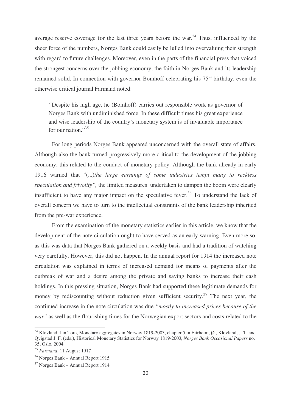average reserve coverage for the last three years before the war. $34$  Thus, influenced by the sheer force of the numbers, Norges Bank could easily be lulled into overvaluing their strength with regard to future challenges. Moreover, even in the parts of the financial press that voiced the strongest concerns over the jobbing economy, the faith in Norges Bank and its leadership remained solid. In connection with governor Bomhoff celebrating his 75<sup>th</sup> birthday, even the otherwise critical journal Farmand noted:

*"*Despite his high age, he (Bomhoff) carries out responsible work as governor of Norges Bank with undiminished force. In these difficult times his great experience and wise leadership of the country's monetary system is of invaluable importance for our nation."<sup>35</sup>

For long periods Norges Bank appeared unconcerned with the overall state of affairs. Although also the bank turned progressively more critical to the development of the jobbing economy, this related to the conduct of monetary policy. Although the bank already in early 1916 warned that "(...)*the large earnings of some industries tempt many to reckless speculation and frivolity",* the limited measures undertaken to dampen the boom were clearly insufficient to have any major impact on the speculative fever.<sup>36</sup> To understand the lack of overall concern we have to turn to the intellectual constraints of the bank leadership inherited from the pre-war experience.

From the examination of the monetary statistics earlier in this article, we know that the development of the note circulation ought to have served as an early warning. Even more so, as this was data that Norges Bank gathered on a weekly basis and had a tradition of watching very carefully. However, this did not happen. In the annual report for 1914 the increased note circulation was explained in terms of increased demand for means of payments after the outbreak of war and a desire among the private and saving banks to increase their cash holdings. In this pressing situation, Norges Bank had supported these legitimate demands for money by rediscounting without reduction given sufficient security.<sup>37</sup> The next year, the continued increase in the note circulation was due *"mostly to increased prices because of the war"* as well as the flourishing times for the Norwegian export sectors and costs related to the

<sup>&</sup>lt;sup>34</sup> Klovland, Jan Tore, Monetary aggregates in Norway 1819-2003, chapter 5 in Eitrheim, Ø., Klovland, J. T. and Qvigstad J. F. (eds.), Historical Monetary Statistics for Norway 1819-2003, *Norges Bank Occasional Papers* no. 35, Oslo, 2004

<sup>35</sup> *Farmand*, 11 August 1917

<sup>36</sup> Norges Bank – Annual Report 1915

<sup>37</sup> Norges Bank – Annual Report 1914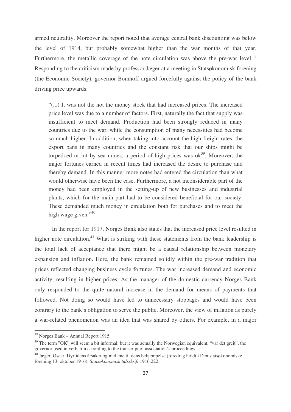armed neutrality. Moreover the report noted that average central bank discounting was below the level of 1914, but probably somewhat higher than the war months of that year. Furthermore, the metallic coverage of the note circulation was above the pre-war level.<sup>38</sup> Responding to the criticism made by professor Jæger at a meeting in Statsøkonomisk forening (the Economic Society), governor Bomhoff argued forcefully against the policy of the bank driving price upwards:

"(...) It was not the not the money stock that had increased prices. The increased price level was due to a number of factors. First, naturally the fact that supply was insufficient to meet demand. Production had been strongly reduced in many countries due to the war, while the consumption of many necessities had become so much higher. In addition, when taking into account the high freight rates, the export bans in many countries and the constant risk that our ships might be torpedoed or hit by sea mines, a period of high prices was  $ok<sup>39</sup>$ . Moreover, the major fortunes earned in recent times had increased the desire to purchase and thereby demand. In this manner more notes had entered the circulation than what would otherwise have been the case. Furthermore, a not inconsiderable part of the money had been employed in the setting-up of new businesses and industrial plants, which for the main part had to be considered beneficial for our society. These demanded much money in circulation both for purchases and to meet the high wage given."<sup>40</sup>

In the report for 1917, Norges Bank also states that the increased price level resulted in higher note circulation.<sup>41</sup> What is striking with these statements from the bank leadership is the total lack of acceptance that there might be a causal relationship between monetary expansion and inflation. Here, the bank remained solidly within the pre-war tradition that prices reflected changing business cycle fortunes. The war increased demand and economic activity, resulting in higher prices. As the manager of the domestic currency Norges Bank only responded to the quite natural increase in the demand for means of payments that followed. Not doing so would have led to unnecessary stoppages and would have been contrary to the bank's obligation to serve the public. Moreover, the view of inflation as purely a war-related phenomenon was an idea that was shared by others. For example, in a major

-------------------------

----------------------------

<sup>-</sup>-----<sup>38</sup> Norges Bank – Annual Report 1915

 $39$  The term "OK" will seem a bit informal, but it was actually the Norwegian equivalent, "var det greit", the governor used in verbatim according to the transcript of association's proceedings.

<sup>&</sup>lt;sup>40</sup> Jæger, Oscar, Dyrtidens årsaker og midlene til dens bekjempelse (foredrag holdt i Den statsøkonomiske forening 13. oktober 1916), *Statsøkonomisk tidsskrift* 1916:222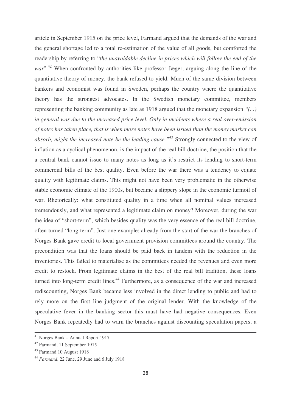article in September 1915 on the price level, Farmand argued that the demands of the war and the general shortage led to a total re-estimation of the value of all goods, but comforted the readership by referring to "*the unavoidable decline in prices which will follow the end of the* war".<sup>42</sup> When confronted by authorities like professor Jæger, arguing along the line of the quantitative theory of money, the bank refused to yield. Much of the same division between bankers and economist was found in Sweden, perhaps the country where the quantitative theory has the strongest advocates. In the Swedish monetary committee, members representing the banking community as late as 1918 argued that the monetary expansion *"(...) in general was due to the increased price level. Only in incidents where a real over-emission of notes has taken place, that is when more notes have been issued than the money market can absorb, might the increased note be the leading cause."* 43 Strongly connected to the view of inflation as a cyclical phenomenon, is the impact of the real bill doctrine, the position that the a central bank cannot issue to many notes as long as it's restrict its lending to short-term commercial bills of the best quality. Even before the war there was a tendency to equate quality with legitimate claims. This might not have been very problematic in the otherwise stable economic climate of the 1900s, but became a slippery slope in the economic turmoil of war. Rhetorically: what constituted quality in a time when all nominal values increased tremendously, and what represented a legitimate claim on money? Moreover, during the war the idea of "short-term", which besides quality was the very essence of the real bill doctrine, often turned "long-term". Just one example: already from the start of the war the branches of Norges Bank gave credit to local government provision committees around the country. The precondition was that the loans should be paid back in tandem with the reduction in the inventories. This failed to materialise as the committees needed the revenues and even more credit to restock. From legitimate claims in the best of the real bill tradition, these loans turned into long-term credit lines.<sup>44</sup> Furthermore, as a consequence of the war and increased rediscounting, Norges Bank became less involved in the direct lending to public and had to rely more on the first line judgment of the original lender. With the knowledge of the speculative fever in the banking sector this must have had negative consequences. Even Norges Bank repeatedly had to warn the branches against discounting speculation papers, a

-------------------------------------------------------------------------------------------------------------------------------------------------------

----------------------------

<sup>-</sup>-----<sup>41</sup> Norges Bank – Annual Report 1917

<sup>&</sup>lt;sup>42</sup> Farmand, 11 September 1915

<sup>&</sup>lt;sup>43</sup> Farmand 10 August 1918

<sup>44</sup> *Farmand*, 22 June, 29 June and 6 July 1918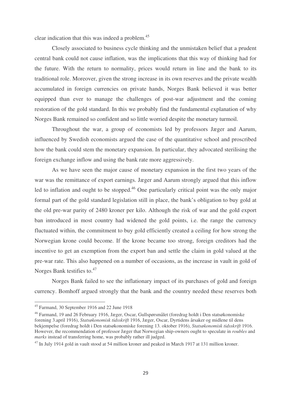clear indication that this was indeed a problem. 45

Closely associated to business cycle thinking and the unmistaken belief that a prudent central bank could not cause inflation, was the implications that this way of thinking had for the future. With the return to normality, prices would return in line and the bank to its traditional role. Moreover, given the strong increase in its own reserves and the private wealth accumulated in foreign currencies on private hands, Norges Bank believed it was better equipped than ever to manage the challenges of post-war adjustment and the coming restoration of the gold standard. In this we probably find the fundamental explanation of why Norges Bank remained so confident and so little worried despite the monetary turmoil.

Throughout the war, a group of economists led by professors Jæger and Aarum, influenced by Swedish economists argued the case of the quantitative school and proscribed how the bank could stem the monetary expansion. In particular, they advocated sterilising the foreign exchange inflow and using the bank rate more aggressively.

As we have seen the major cause of monetary expansion in the first two years of the war was the remittance of export earnings. Jæger and Aarum strongly argued that this inflow led to inflation and ought to be stopped.<sup>46</sup> One particularly critical point was the only major formal part of the gold standard legislation still in place, the bank's obligation to buy gold at the old pre-war parity of 2480 kroner per kilo. Although the risk of war and the gold export ban introduced in most country had widened the gold points, i.e. the range the currency fluctuated within, the commitment to buy gold efficiently created a ceiling for how strong the Norwegian krone could become. If the krone became too strong, foreign creditors had the incentive to get an exemption from the export ban and settle the claim in gold valued at the pre-war rate. This also happened on a number of occasions, as the increase in vault in gold of Norges Bank testifies to.<sup>47</sup>

Norges Bank failed to see the inflationary impact of its purchases of gold and foreign currency. Bomhoff argued strongly that the bank and the country needed these reserves both

----------------

-------------------------------------

<sup>-</sup>-----<sup>45</sup> Farmand, 30 September 1916 and 22 June 1918

<sup>&</sup>lt;sup>46</sup> Farmand, 19 and 26 February 1916, Jæger, Oscar, Gullspørsmålet (foredrag holdt i Den statsøkonomiske forening 3.april 1916), *Statsøkonomisk tidsskrift* 1916, Jæger, Oscar, Dyrtidens årsaker og midlene til dens bekjempelse (foredrag holdt i Den statsøkonomiske forening 13. oktober 1916), *Statsøkonomisk tidsskrift* 1916. However, the recommendation of professor Jæger that Norwegian ship-owners ought to speculate in *roubles* and *marks* instead of transferring home, was probably rather ill judged.

<sup>&</sup>lt;sup>47</sup> In July 1914 gold in vault stood at 54 million kroner and peaked in March 1917 at 131 million kroner.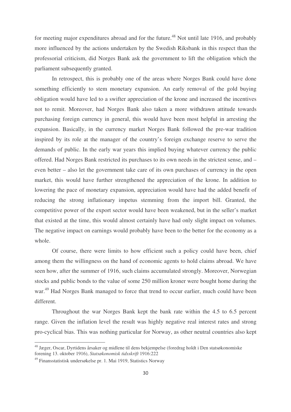for meeting major expenditures abroad and for the future.<sup>48</sup> Not until late 1916, and probably more influenced by the actions undertaken by the Swedish Riksbank in this respect than the professorial criticism, did Norges Bank ask the government to lift the obligation which the parliament subsequently granted.

In retrospect, this is probably one of the areas where Norges Bank could have done something efficiently to stem monetary expansion. An early removal of the gold buying obligation would have led to a swifter appreciation of the krone and increased the incentives not to remit. Moreover, had Norges Bank also taken a more withdrawn attitude towards purchasing foreign currency in general, this would have been most helpful in arresting the expansion. Basically, in the currency market Norges Bank followed the pre-war tradition inspired by its role at the manager of the country's foreign exchange reserve to serve the demands of public. In the early war years this implied buying whatever currency the public offered. Had Norges Bank restricted its purchases to its own needs in the strictest sense, and – even better – also let the government take care of its own purchases of currency in the open market, this would have further strengthened the appreciation of the krone. In addition to lowering the pace of monetary expansion, appreciation would have had the added benefit of reducing the strong inflationary impetus stemming from the import bill. Granted, the competitive power of the export sector would have been weakened, but in the seller's market that existed at the time, this would almost certainly have had only slight impact on volumes. The negative impact on earnings would probably have been to the better for the economy as a whole.

Of course, there were limits to how efficient such a policy could have been, chief among them the willingness on the hand of economic agents to hold claims abroad. We have seen how, after the summer of 1916, such claims accumulated strongly. Moreover, Norwegian stocks and public bonds to the value of some 250 million kroner were bought home during the war.<sup>49</sup> Had Norges Bank managed to force that trend to occur earlier, much could have been different.

Throughout the war Norges Bank kept the bank rate within the 4.5 to 6.5 percent range. Given the inflation level the result was highly negative real interest rates and strong pro-cyclical bias. This was nothing particular for Norway, as other neutral countries also kept

<sup>&</sup>lt;sup>48</sup> Jæger, Oscar, Dyrtidens årsaker og midlene til dens bekjempelse (foredrag holdt i Den statsøkonomiske forening 13. oktober 1916), *Statsøkonomisk tidsskrift* 1916:222

<sup>&</sup>lt;sup>49</sup> Finansstatistisk undersøkelse pr. 1. Mai 1919, Statistics Norway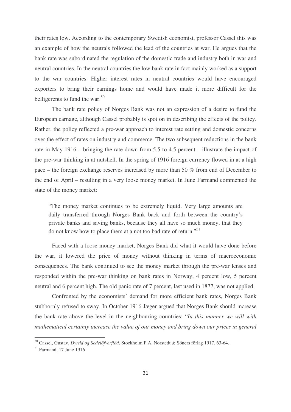their rates low. According to the contemporary Swedish economist, professor Cassel this was an example of how the neutrals followed the lead of the countries at war. He argues that the bank rate was subordinated the regulation of the domestic trade and industry both in war and neutral countries. In the neutral countries the low bank rate in fact mainly worked as a support to the war countries. Higher interest rates in neutral countries would have encouraged exporters to bring their earnings home and would have made it more difficult for the belligerents to fund the war.<sup>50</sup>

The bank rate policy of Norges Bank was not an expression of a desire to fund the European carnage, although Cassel probably is spot on in describing the effects of the policy. Rather, the policy reflected a pre-war approach to interest rate setting and domestic concerns over the effect of rates on industry and commerce. The two subsequent reductions in the bank rate in May 1916 – bringing the rate down from 5.5 to 4.5 percent – illustrate the impact of the pre-war thinking in at nutshell. In the spring of 1916 foreign currency flowed in at a high pace – the foreign exchange reserves increased by more than 50 % from end of December to the end of April – resulting in a very loose money market. In June Farmand commented the state of the money market:

"The money market continues to be extremely liquid. Very large amounts are daily transferred through Norges Bank back and forth between the country's private banks and saving banks, because they all have so much money, that they do not know how to place them at a not too bad rate of return."<sup>51</sup>

Faced with a loose money market, Norges Bank did what it would have done before the war, it lowered the price of money without thinking in terms of macroeconomic consequences. The bank continued to see the money market through the pre-war lenses and responded within the pre-war thinking on bank rates in Norway; 4 percent low, 5 percent neutral and 6 percent high. The old panic rate of 7 percent, last used in 1877, was not applied.

Confronted by the economists' demand for more efficient bank rates, Norges Bank stubbornly refused to sway. In October 1916 Jæger argued that Norges Bank should increase the bank rate above the level in the neighbouring countries: "*In this manner we will with mathematical certainty increase the value of our money and bring down our prices in general*

<sup>50</sup> Cassel, Gustav, *Dyrtid og Sedelöfverflöd,* Stockholm P.A. Norstedt & Söners förlag 1917, 63-64.

<sup>51</sup> Farmand, 17 June 1916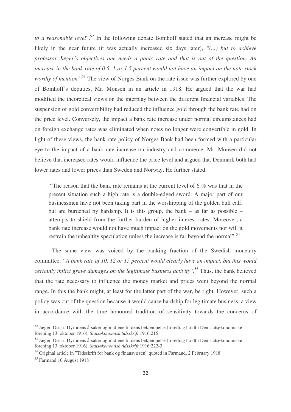*to a reasonable level*". 52 In the following debate Bomhoff stated that an increase might be likely in the near future (it was actually increased six days later), *"(...) but to achieve professor Jæger's objectives one needs a panic rate and that is out of the question. An* increase in the bank rate of 0.5, 1 or 1.5 percent would not have an impact on the note stock worthy of mention."<sup>53</sup> The view of Norges Bank on the rate issue was further explored by one of Bomhoff's deputies, Mr. Monsen in an article in 1918. He argued that the war had modified the theoretical views on the interplay between the different financial variables. The suspension of gold convertibility had reduced the influence gold through the bank rate had on the price level. Conversely, the impact a bank rate increase under normal circumstances had on foreign exchange rates was eliminated when notes no longer were convertible in gold. In light of these views, the bank rate policy of Norges Bank had been formed with a particular eye to the impact of a bank rate increase on industry and commerce. Mr. Monsen did not believe that increased rates would influence the price level and argued that Denmark both had lower rates and lower prices than Sweden and Norway. He further stated:

"The reason that the bank rate remains at the current level of 6 % was that in the present situation such a high rate is a double-edged sword. A major part of our businessmen have not been taking part in the worshipping of the golden bull calf, but are burdened by hardship. It is this group, the bank – as far as possible – attempts to shield from the further burden of higher interest rates. Moreover, a bank rate increase would not have much impact on the gold movements nor will it restrain the unhealthy speculation unless the increase is far beyond the normal".<sup>54</sup>

The same view was voiced by the banking fraction of the Swedish monetary committee: *"A bank rate of 10, 12 or 15 percent would clearly have an impact, but this would certainly inflict grave damages on the legitimate business activity*". 55 Thus, the bank believed that the rate necessary to influence the money market and prices went beyond the normal range. In this the bank might, at least for the latter part of the war, be right. However, such a policy was out of the question because it would cause hardship for legitimate business, a view in accordance with the time honoured tradition of sensitivity towards the concerns of

<sup>-</sup>---------------------------------------------------------- 52 Jæger, Oscar, Dyrtidens årsaker og midlene til dens bekjempelse (foredrag holdt i Den statsøkonomiske forening 13. oktober 1916), *Statsøkonomisk tidsskrift* 1916:215

<sup>&</sup>lt;sup>53</sup> Jæger, Oscar, Dyrtidens årsaker og midlene til dens bekjempelse (foredrag holdt i Den statsøkonomiske forening 13. oktober 1916), *Statsøkonomisk tidsskrift* 1916:222-3

<sup>54</sup> Original article in "Tidsskrift for bank og finansvæsen" quoted in Farmand, 2 February 1918

<sup>55</sup> Farmand 10 August 1918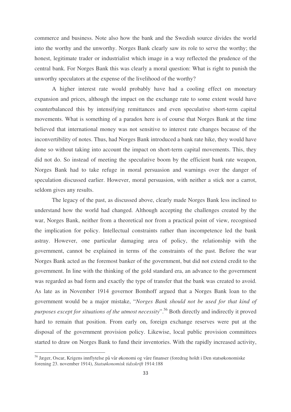commerce and business. Note also how the bank and the Swedish source divides the world into the worthy and the unworthy. Norges Bank clearly saw its role to serve the worthy; the honest, legitimate trader or industrialist which image in a way reflected the prudence of the central bank. For Norges Bank this was clearly a moral question: What is right to punish the unworthy speculators at the expense of the livelihood of the worthy?

A higher interest rate would probably have had a cooling effect on monetary expansion and prices, although the impact on the exchange rate to some extent would have counterbalanced this by intensifying remittances and even speculative short-term capital movements. What is something of a paradox here is of course that Norges Bank at the time believed that international money was not sensitive to interest rate changes because of the inconvertibility of notes. Thus, had Norges Bank introduced a bank rate hike, they would have done so without taking into account the impact on short-term capital movements. This, they did not do. So instead of meeting the speculative boom by the efficient bank rate weapon, Norges Bank had to take refuge in moral persuasion and warnings over the danger of speculation discussed earlier. However, moral persuasion, with neither a stick nor a carrot, seldom gives any results.

The legacy of the past, as discussed above, clearly made Norges Bank less inclined to understand how the world had changed. Although accepting the challenges created by the war, Norges Bank, neither from a theoretical nor from a practical point of view, recognised the implication for policy. Intellectual constraints rather than incompetence led the bank astray. However, one particular damaging area of policy, the relationship with the government, cannot be explained in terms of the constraints of the past. Before the war Norges Bank acted as the foremost banker of the government, but did not extend credit to the government. In line with the thinking of the gold standard era, an advance to the government was regarded as bad form and exactly the type of transfer that the bank was created to avoid. As late as in November 1914 governor Bomhoff argued that a Norges Bank loan to the government would be a major mistake, "*Norges Bank should not be used for that kind of purposes except for situations of the utmost necessity*". <sup>56</sup> Both directly and indirectly it proved hard to remain that position. From early on, foreign exchange reserves were put at the disposal of the government provision policy. Likewise, local public provision committees started to draw on Norges Bank to fund their inventories. With the rapidly increased activity,

<sup>&</sup>lt;sup>56</sup> Jæger, Oscar, Krigens innflytelse på vår økonomi og våre finanser (foredrag holdt i Den statsøkonomiske forening 23. november 1914), *Statsøkonomisk tidsskrift* 1914:188